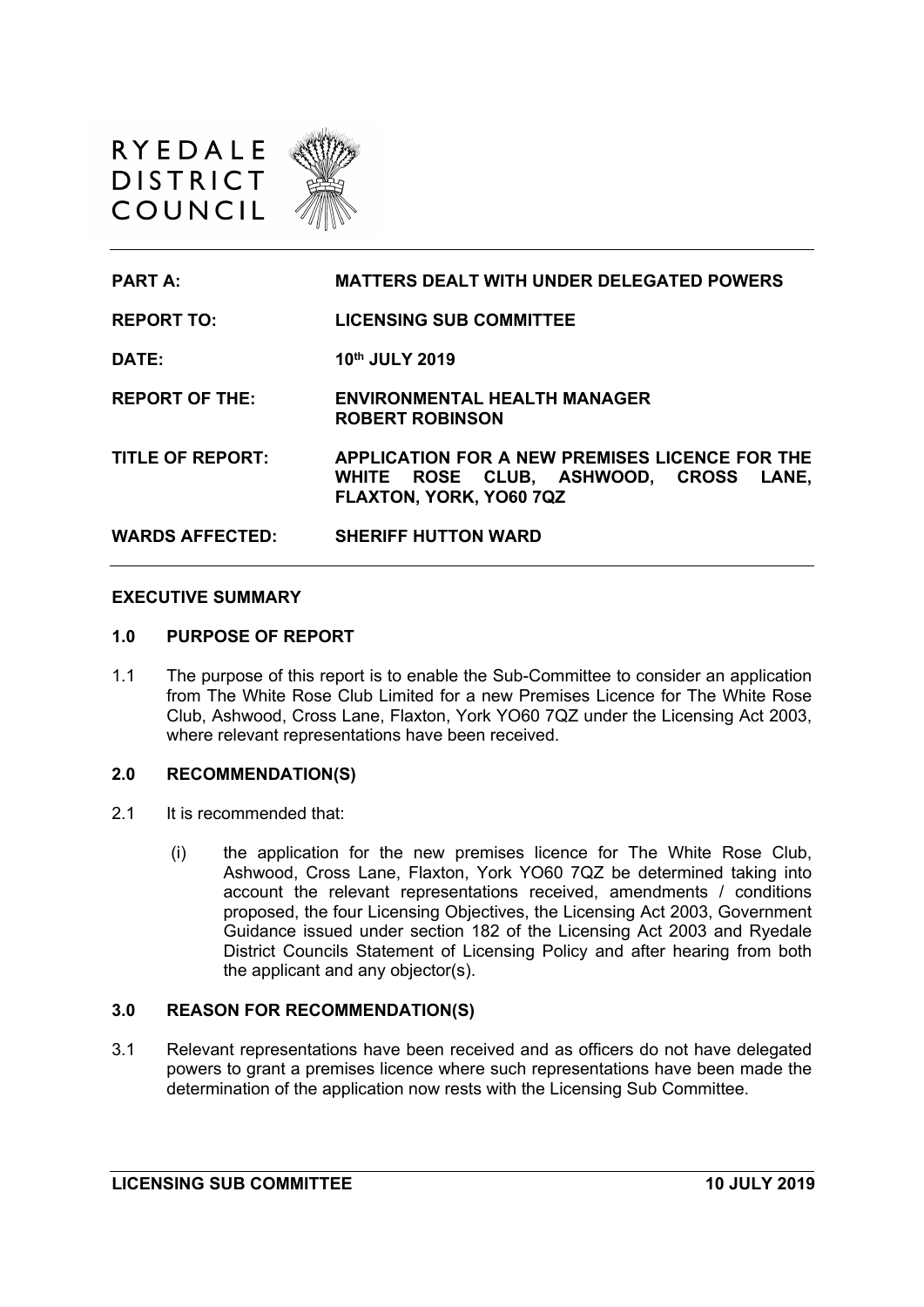



#### **EXECUTIVE SUMMARY**

#### **1.0 PURPOSE OF REPORT**

1.1 The purpose of this report is to enable the Sub-Committee to consider an application from The White Rose Club Limited for a new Premises Licence for The White Rose Club, Ashwood, Cross Lane, Flaxton, York YO60 7QZ under the Licensing Act 2003, where relevant representations have been received.

### **2.0 RECOMMENDATION(S)**

- 2.1 It is recommended that:
	- (i) the application for the new premises licence for The White Rose Club, Ashwood, Cross Lane, Flaxton, York YO60 7QZ be determined taking into account the relevant representations received, amendments / conditions proposed, the four Licensing Objectives, the Licensing Act 2003, Government Guidance issued under section 182 of the Licensing Act 2003 and Ryedale District Councils Statement of Licensing Policy and after hearing from both the applicant and any objector(s).

### **3.0 REASON FOR RECOMMENDATION(S)**

3.1 Relevant representations have been received and as officers do not have delegated powers to grant a premises licence where such representations have been made the determination of the application now rests with the Licensing Sub Committee.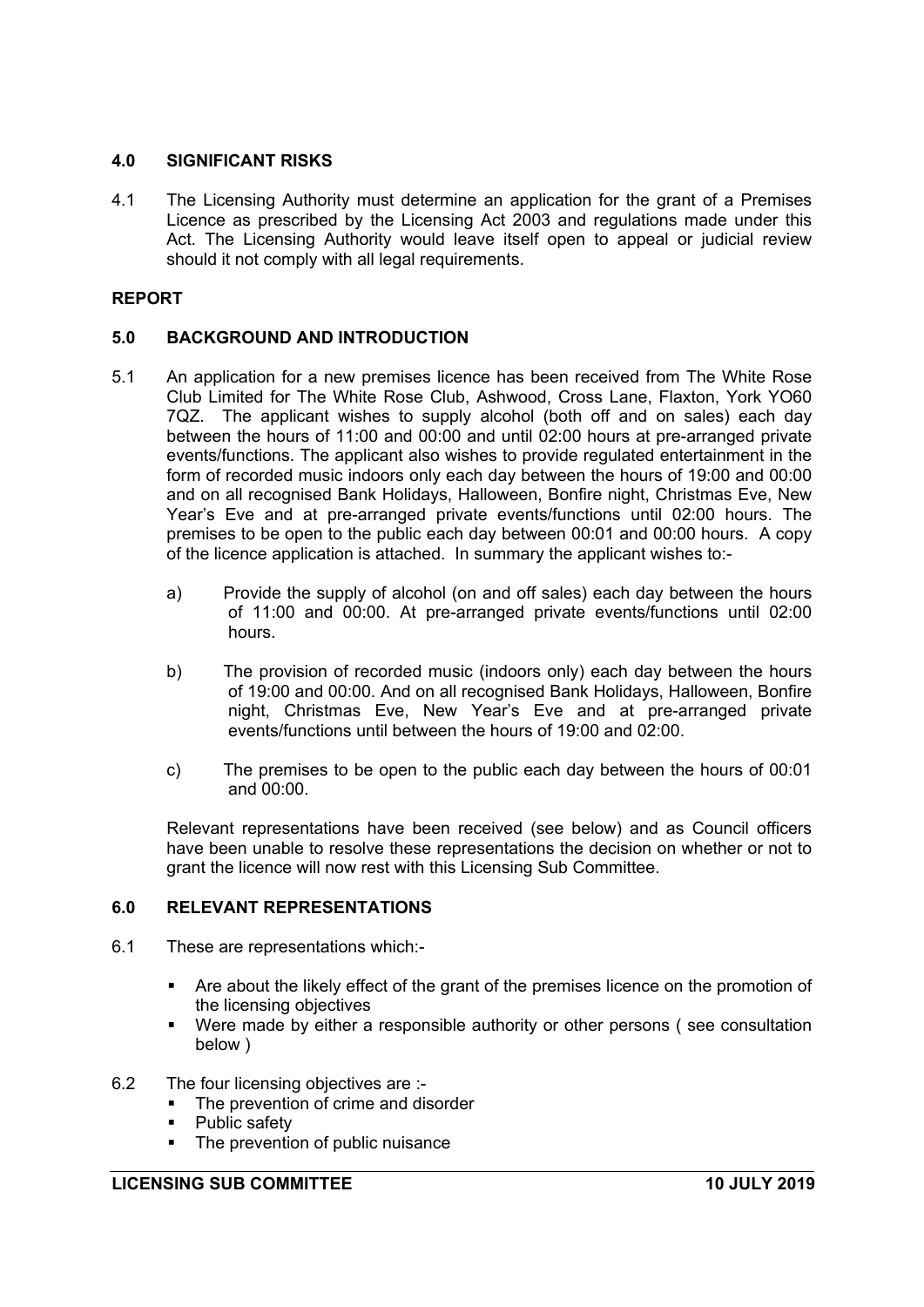### **4.0 SIGNIFICANT RISKS**

4.1 The Licensing Authority must determine an application for the grant of a Premises Licence as prescribed by the Licensing Act 2003 and regulations made under this Act. The Licensing Authority would leave itself open to appeal or judicial review should it not comply with all legal requirements.

# **REPORT**

# **5.0 BACKGROUND AND INTRODUCTION**

- 5.1 An application for a new premises licence has been received from The White Rose Club Limited for The White Rose Club, Ashwood, Cross Lane, Flaxton, York YO60 7QZ. The applicant wishes to supply alcohol (both off and on sales) each day between the hours of 11:00 and 00:00 and until 02:00 hours at pre-arranged private events/functions. The applicant also wishes to provide regulated entertainment in the form of recorded music indoors only each day between the hours of 19:00 and 00:00 and on all recognised Bank Holidays, Halloween, Bonfire night, Christmas Eve, New Year's Eve and at pre-arranged private events/functions until 02:00 hours. The premises to be open to the public each day between 00:01 and 00:00 hours. A copy of the licence application is attached. In summary the applicant wishes to:
	- a) Provide the supply of alcohol (on and off sales) each day between the hours of 11:00 and 00:00. At pre-arranged private events/functions until 02:00 hours.
	- b) The provision of recorded music (indoors only) each day between the hours of 19:00 and 00:00. And on all recognised Bank Holidays, Halloween, Bonfire night, Christmas Eve, New Year's Eve and at pre-arranged private events/functions until between the hours of 19:00 and 02:00.
	- c) The premises to be open to the public each day between the hours of 00:01 and 00:00.

Relevant representations have been received (see below) and as Council officers have been unable to resolve these representations the decision on whether or not to grant the licence will now rest with this Licensing Sub Committee.

# **6.0 RELEVANT REPRESENTATIONS**

- 6.1 These are representations which:-
	- Are about the likely effect of the grant of the premises licence on the promotion of the licensing objectives
	- Were made by either a responsible authority or other persons ( see consultation below )
- 6.2 The four licensing objectives are :-
	- The prevention of crime and disorder
	- Public safety
	- The prevention of public nuisance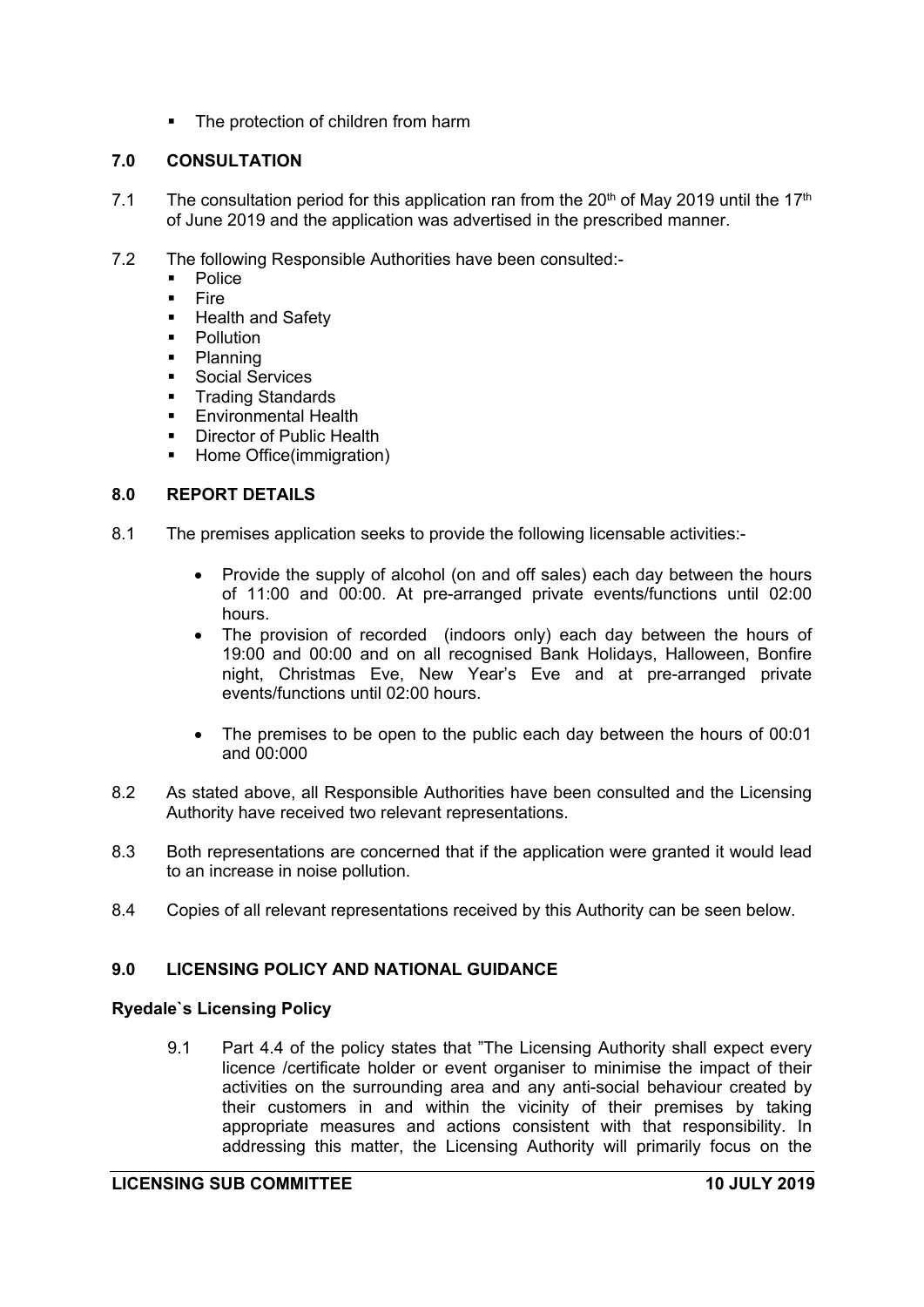• The protection of children from harm

# **7.0 CONSULTATION**

- 7.1 The consultation period for this application ran from the  $20<sup>th</sup>$  of May 2019 until the 17<sup>th</sup> of June 2019 and the application was advertised in the prescribed manner.
- 7.2 The following Responsible Authorities have been consulted:-
	- Police
	- Fire
	- **E** Health and Safety
	- **•** Pollution
	- Planning
	- **•** Social Services
	- **Trading Standards**
	- **Environmental Health**
	- Director of Public Health
	- Home Office(immigration)

# **8.0 REPORT DETAILS**

- 8.1 The premises application seeks to provide the following licensable activities:-
	- Provide the supply of alcohol (on and off sales) each day between the hours of 11:00 and 00:00. At pre-arranged private events/functions until 02:00 hours.
	- The provision of recorded (indoors only) each day between the hours of 19:00 and 00:00 and on all recognised Bank Holidays, Halloween, Bonfire night, Christmas Eve, New Year's Eve and at pre-arranged private events/functions until 02:00 hours.
	- The premises to be open to the public each day between the hours of 00:01 and 00:000
- 8.2 As stated above, all Responsible Authorities have been consulted and the Licensing Authority have received two relevant representations.
- 8.3 Both representations are concerned that if the application were granted it would lead to an increase in noise pollution.
- 8.4 Copies of all relevant representations received by this Authority can be seen below.

# **9.0 LICENSING POLICY AND NATIONAL GUIDANCE**

### **Ryedale`s Licensing Policy**

9.1 Part 4.4 of the policy states that "The Licensing Authority shall expect every licence /certificate holder or event organiser to minimise the impact of their activities on the surrounding area and any anti-social behaviour created by their customers in and within the vicinity of their premises by taking appropriate measures and actions consistent with that responsibility. In addressing this matter, the Licensing Authority will primarily focus on the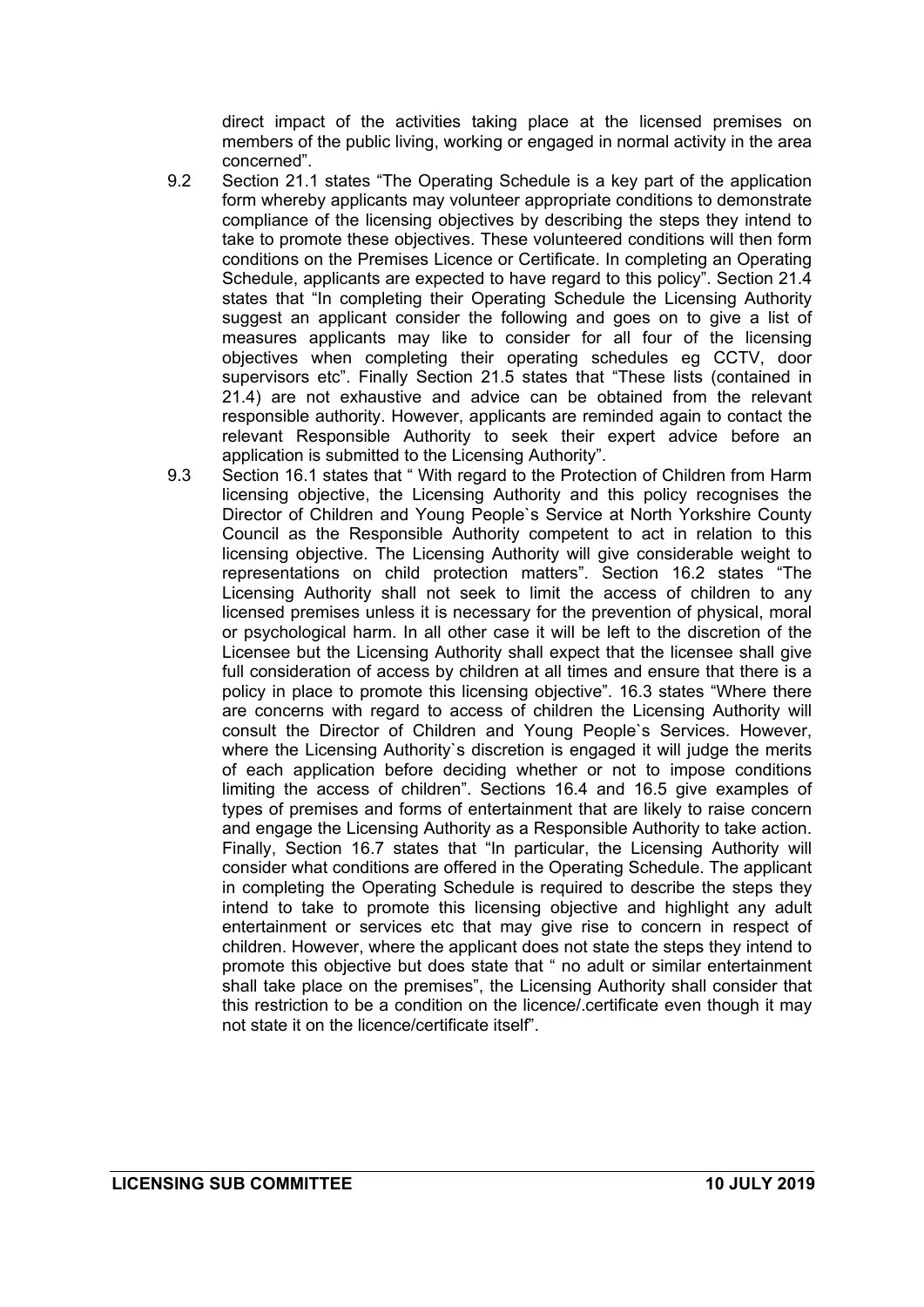direct impact of the activities taking place at the licensed premises on members of the public living, working or engaged in normal activity in the area concerned".

- 9.2 Section 21.1 states "The Operating Schedule is a key part of the application form whereby applicants may volunteer appropriate conditions to demonstrate compliance of the licensing objectives by describing the steps they intend to take to promote these objectives. These volunteered conditions will then form conditions on the Premises Licence or Certificate. In completing an Operating Schedule, applicants are expected to have regard to this policy". Section 21.4 states that "In completing their Operating Schedule the Licensing Authority suggest an applicant consider the following and goes on to give a list of measures applicants may like to consider for all four of the licensing objectives when completing their operating schedules eg CCTV, door supervisors etc". Finally Section 21.5 states that "These lists (contained in 21.4) are not exhaustive and advice can be obtained from the relevant responsible authority. However, applicants are reminded again to contact the relevant Responsible Authority to seek their expert advice before an application is submitted to the Licensing Authority".
- 9.3 Section 16.1 states that " With regard to the Protection of Children from Harm licensing objective, the Licensing Authority and this policy recognises the Director of Children and Young People`s Service at North Yorkshire County Council as the Responsible Authority competent to act in relation to this licensing objective. The Licensing Authority will give considerable weight to representations on child protection matters". Section 16.2 states "The Licensing Authority shall not seek to limit the access of children to any licensed premises unless it is necessary for the prevention of physical, moral or psychological harm. In all other case it will be left to the discretion of the Licensee but the Licensing Authority shall expect that the licensee shall give full consideration of access by children at all times and ensure that there is a policy in place to promote this licensing objective". 16.3 states "Where there are concerns with regard to access of children the Licensing Authority will consult the Director of Children and Young People`s Services. However, where the Licensing Authority`s discretion is engaged it will judge the merits of each application before deciding whether or not to impose conditions limiting the access of children". Sections 16.4 and 16.5 give examples of types of premises and forms of entertainment that are likely to raise concern and engage the Licensing Authority as a Responsible Authority to take action. Finally, Section 16.7 states that "In particular, the Licensing Authority will consider what conditions are offered in the Operating Schedule. The applicant in completing the Operating Schedule is required to describe the steps they intend to take to promote this licensing objective and highlight any adult entertainment or services etc that may give rise to concern in respect of children. However, where the applicant does not state the steps they intend to promote this objective but does state that " no adult or similar entertainment shall take place on the premises", the Licensing Authority shall consider that this restriction to be a condition on the licence/.certificate even though it may not state it on the licence/certificate itself".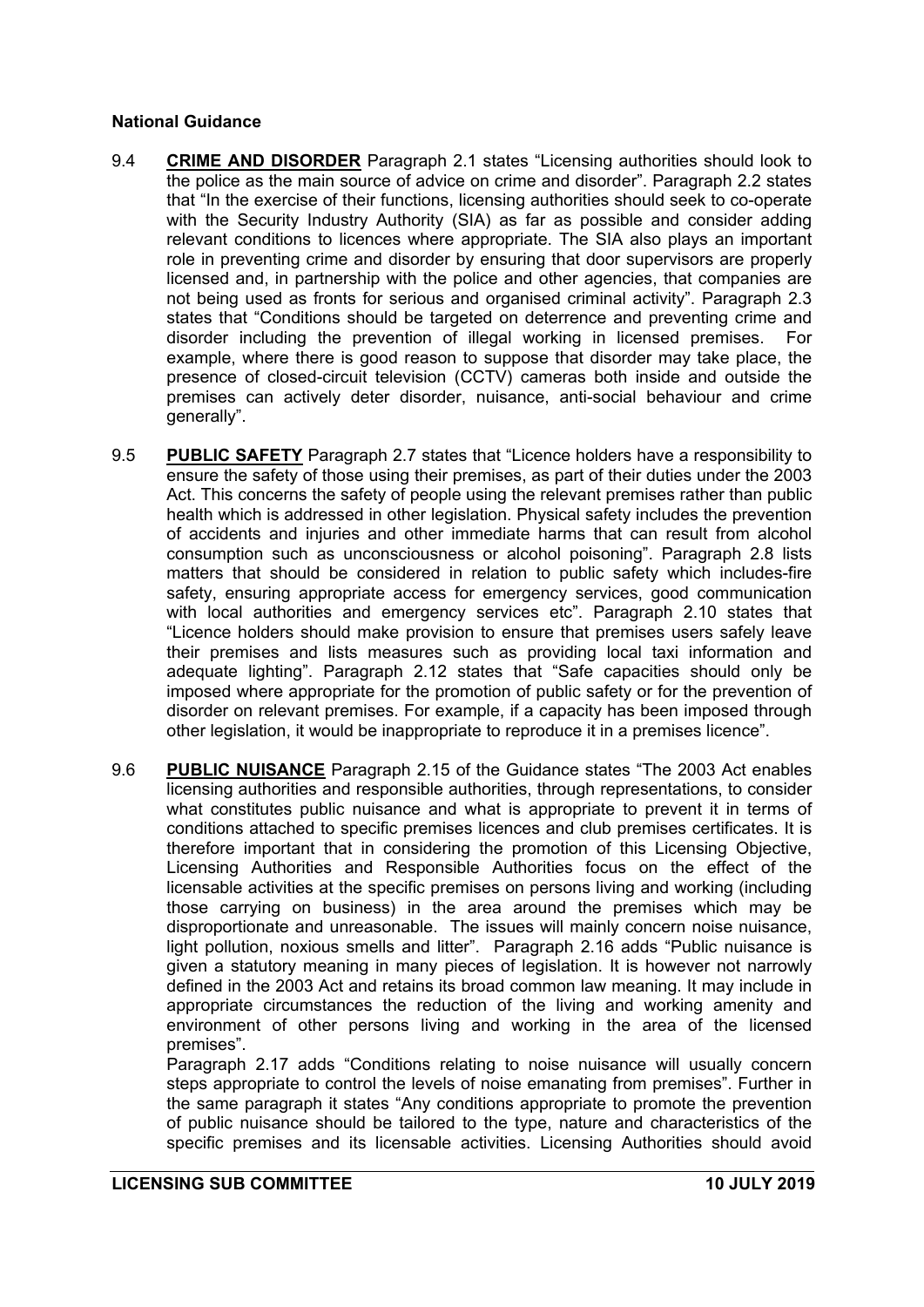#### **National Guidance**

- 9.4 **CRIME AND DISORDER** Paragraph 2.1 states "Licensing authorities should look to the police as the main source of advice on crime and disorder". Paragraph 2.2 states that "In the exercise of their functions, licensing authorities should seek to co-operate with the Security Industry Authority (SIA) as far as possible and consider adding relevant conditions to licences where appropriate. The SIA also plays an important role in preventing crime and disorder by ensuring that door supervisors are properly licensed and, in partnership with the police and other agencies, that companies are not being used as fronts for serious and organised criminal activity". Paragraph 2.3 states that "Conditions should be targeted on deterrence and preventing crime and disorder including the prevention of illegal working in licensed premises. For example, where there is good reason to suppose that disorder may take place, the presence of closed-circuit television (CCTV) cameras both inside and outside the premises can actively deter disorder, nuisance, anti-social behaviour and crime generally".
- 9.5 **PUBLIC SAFETY** Paragraph 2.7 states that "Licence holders have a responsibility to ensure the safety of those using their premises, as part of their duties under the 2003 Act. This concerns the safety of people using the relevant premises rather than public health which is addressed in other legislation. Physical safety includes the prevention of accidents and injuries and other immediate harms that can result from alcohol consumption such as unconsciousness or alcohol poisoning". Paragraph 2.8 lists matters that should be considered in relation to public safety which includes-fire safety, ensuring appropriate access for emergency services, good communication with local authorities and emergency services etc". Paragraph 2.10 states that "Licence holders should make provision to ensure that premises users safely leave their premises and lists measures such as providing local taxi information and adequate lighting". Paragraph 2.12 states that "Safe capacities should only be imposed where appropriate for the promotion of public safety or for the prevention of disorder on relevant premises. For example, if a capacity has been imposed through other legislation, it would be inappropriate to reproduce it in a premises licence".
- 9.6 **PUBLIC NUISANCE** Paragraph 2.15 of the Guidance states "The 2003 Act enables licensing authorities and responsible authorities, through representations, to consider what constitutes public nuisance and what is appropriate to prevent it in terms of conditions attached to specific premises licences and club premises certificates. It is therefore important that in considering the promotion of this Licensing Objective, Licensing Authorities and Responsible Authorities focus on the effect of the licensable activities at the specific premises on persons living and working (including those carrying on business) in the area around the premises which may be disproportionate and unreasonable. The issues will mainly concern noise nuisance, light pollution, noxious smells and litter". Paragraph 2.16 adds "Public nuisance is given a statutory meaning in many pieces of legislation. It is however not narrowly defined in the 2003 Act and retains its broad common law meaning. It may include in appropriate circumstances the reduction of the living and working amenity and environment of other persons living and working in the area of the licensed premises".

Paragraph 2.17 adds "Conditions relating to noise nuisance will usually concern steps appropriate to control the levels of noise emanating from premises". Further in the same paragraph it states "Any conditions appropriate to promote the prevention of public nuisance should be tailored to the type, nature and characteristics of the specific premises and its licensable activities. Licensing Authorities should avoid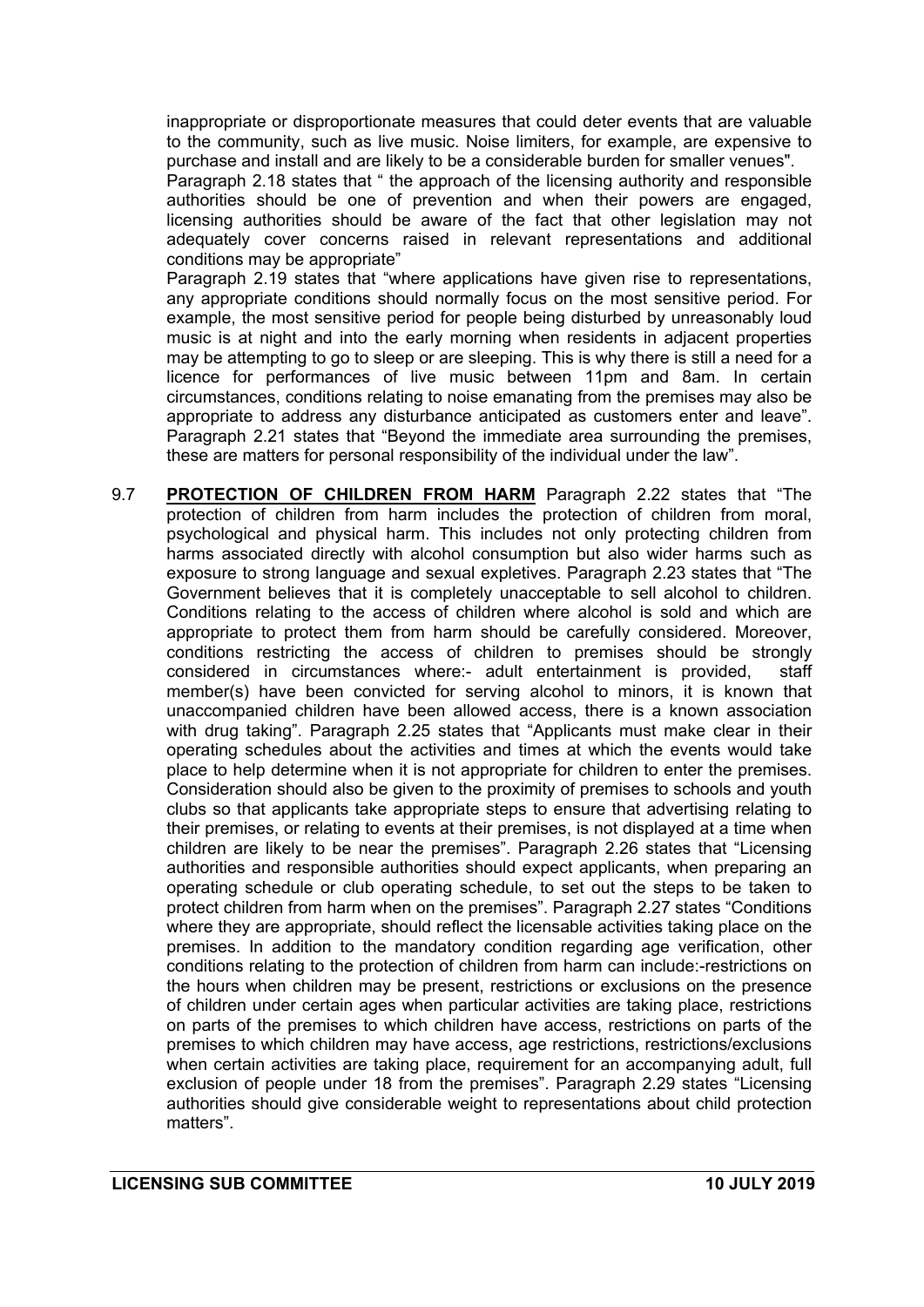inappropriate or disproportionate measures that could deter events that are valuable to the community, such as live music. Noise limiters, for example, are expensive to purchase and install and are likely to be a considerable burden for smaller venues".

Paragraph 2.18 states that " the approach of the licensing authority and responsible authorities should be one of prevention and when their powers are engaged, licensing authorities should be aware of the fact that other legislation may not adequately cover concerns raised in relevant representations and additional conditions may be appropriate"

Paragraph 2.19 states that "where applications have given rise to representations, any appropriate conditions should normally focus on the most sensitive period. For example, the most sensitive period for people being disturbed by unreasonably loud music is at night and into the early morning when residents in adjacent properties may be attempting to go to sleep or are sleeping. This is why there is still a need for a licence for performances of live music between 11pm and 8am. In certain circumstances, conditions relating to noise emanating from the premises may also be appropriate to address any disturbance anticipated as customers enter and leave". Paragraph 2.21 states that "Beyond the immediate area surrounding the premises, these are matters for personal responsibility of the individual under the law".

9.7 **PROTECTION OF CHILDREN FROM HARM** Paragraph 2.22 states that "The protection of children from harm includes the protection of children from moral, psychological and physical harm. This includes not only protecting children from harms associated directly with alcohol consumption but also wider harms such as exposure to strong language and sexual expletives. Paragraph 2.23 states that "The Government believes that it is completely unacceptable to sell alcohol to children. Conditions relating to the access of children where alcohol is sold and which are appropriate to protect them from harm should be carefully considered. Moreover, conditions restricting the access of children to premises should be strongly considered in circumstances where:- adult entertainment is provided, staff member(s) have been convicted for serving alcohol to minors, it is known that unaccompanied children have been allowed access, there is a known association with drug taking". Paragraph 2.25 states that "Applicants must make clear in their operating schedules about the activities and times at which the events would take place to help determine when it is not appropriate for children to enter the premises. Consideration should also be given to the proximity of premises to schools and youth clubs so that applicants take appropriate steps to ensure that advertising relating to their premises, or relating to events at their premises, is not displayed at a time when children are likely to be near the premises". Paragraph 2.26 states that "Licensing authorities and responsible authorities should expect applicants, when preparing an operating schedule or club operating schedule, to set out the steps to be taken to protect children from harm when on the premises". Paragraph 2.27 states "Conditions where they are appropriate, should reflect the licensable activities taking place on the premises. In addition to the mandatory condition regarding age verification, other conditions relating to the protection of children from harm can include:-restrictions on the hours when children may be present, restrictions or exclusions on the presence of children under certain ages when particular activities are taking place, restrictions on parts of the premises to which children have access, restrictions on parts of the premises to which children may have access, age restrictions, restrictions/exclusions when certain activities are taking place, requirement for an accompanying adult, full exclusion of people under 18 from the premises". Paragraph 2.29 states "Licensing authorities should give considerable weight to representations about child protection matters".